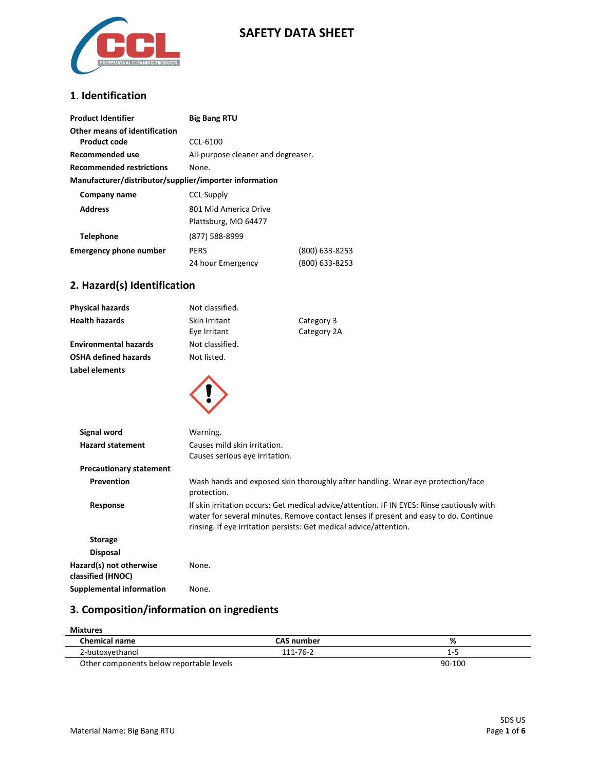

### **SAFETY DATA SHEET**

### **1**. **Identification**

| <b>Product Identifier</b>                              | <b>Big Bang RTU</b>                |                |
|--------------------------------------------------------|------------------------------------|----------------|
| Other means of identification                          |                                    |                |
| Product code                                           | CCL-6100                           |                |
| Recommended use                                        | All-purpose cleaner and degreaser. |                |
| <b>Recommended restrictions</b>                        | None.                              |                |
| Manufacturer/distributor/supplier/importer information |                                    |                |
| Company name                                           | <b>CCL Supply</b>                  |                |
| <b>Address</b>                                         | 801 Mid America Drive              |                |
|                                                        | Plattsburg, MO 64477               |                |
| <b>Telephone</b>                                       | (877) 588-8999                     |                |
| <b>Emergency phone number</b>                          | <b>PERS</b>                        | (800) 633-8253 |
|                                                        | 24 hour Emergency                  | (800) 633-8253 |

### **2. Hazard(s) Identification**

| <b>Physical hazards</b>                      | Not classified.                                                                                                                                                                                                                                          |                                                                                 |
|----------------------------------------------|----------------------------------------------------------------------------------------------------------------------------------------------------------------------------------------------------------------------------------------------------------|---------------------------------------------------------------------------------|
| <b>Health hazards</b>                        | Skin Irritant                                                                                                                                                                                                                                            | Category 3                                                                      |
|                                              | Eye Irritant                                                                                                                                                                                                                                             | Category 2A                                                                     |
| <b>Environmental hazards</b>                 | Not classified.                                                                                                                                                                                                                                          |                                                                                 |
| <b>OSHA defined hazards</b>                  | Not listed.                                                                                                                                                                                                                                              |                                                                                 |
| Label elements                               |                                                                                                                                                                                                                                                          |                                                                                 |
|                                              |                                                                                                                                                                                                                                                          |                                                                                 |
| <b>Signal word</b>                           | Warning.                                                                                                                                                                                                                                                 |                                                                                 |
| <b>Hazard statement</b>                      | Causes mild skin irritation.                                                                                                                                                                                                                             |                                                                                 |
|                                              | Causes serious eye irritation.                                                                                                                                                                                                                           |                                                                                 |
| <b>Precautionary statement</b>               |                                                                                                                                                                                                                                                          |                                                                                 |
| Prevention                                   | protection.                                                                                                                                                                                                                                              | Wash hands and exposed skin thoroughly after handling. Wear eye protection/face |
| Response                                     | If skin irritation occurs: Get medical advice/attention. IF IN EYES: Rinse cautiously with<br>water for several minutes. Remove contact lenses if present and easy to do. Continue<br>rinsing. If eye irritation persists: Get medical advice/attention. |                                                                                 |
| <b>Storage</b>                               |                                                                                                                                                                                                                                                          |                                                                                 |
| <b>Disposal</b>                              |                                                                                                                                                                                                                                                          |                                                                                 |
| Hazard(s) not otherwise<br>classified (HNOC) | None.                                                                                                                                                                                                                                                    |                                                                                 |
| <b>Supplemental information</b>              | None.                                                                                                                                                                                                                                                    |                                                                                 |

## **3. Composition/information on ingredients**

| <b>Mixtures</b>                          |                   |        |
|------------------------------------------|-------------------|--------|
| <b>Chemical name</b>                     | <b>CAS number</b> | %      |
| 2-butoxyethanol                          | 111-76-2          | 1-5    |
| Other components below reportable levels |                   | 90-100 |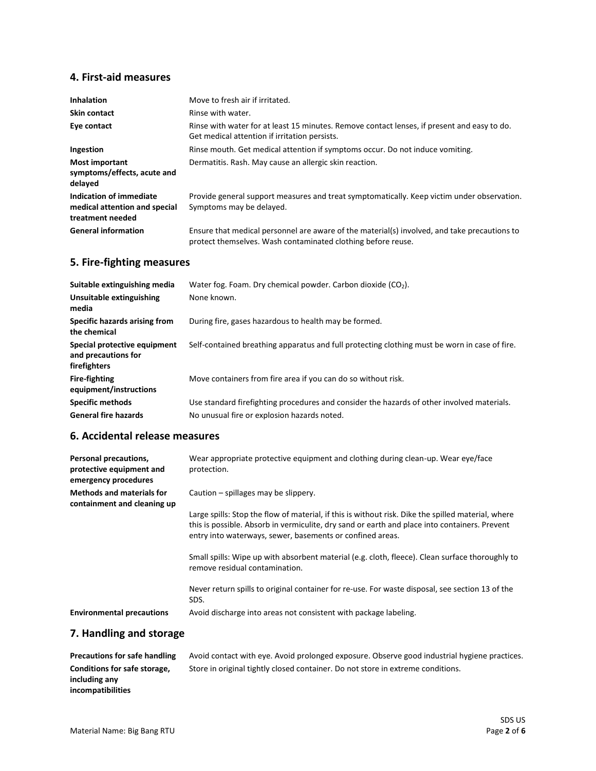#### **4. First-aid measures**

| <b>Inhalation</b>                                                            | Move to fresh air if irritated.                                                                                                                              |
|------------------------------------------------------------------------------|--------------------------------------------------------------------------------------------------------------------------------------------------------------|
| <b>Skin contact</b>                                                          | Rinse with water.                                                                                                                                            |
| Eye contact                                                                  | Rinse with water for at least 15 minutes. Remove contact lenses, if present and easy to do.<br>Get medical attention if irritation persists.                 |
| Ingestion                                                                    | Rinse mouth. Get medical attention if symptoms occur. Do not induce vomiting.                                                                                |
| <b>Most important</b><br>symptoms/effects, acute and<br>delayed              | Dermatitis. Rash. May cause an allergic skin reaction.                                                                                                       |
| Indication of immediate<br>medical attention and special<br>treatment needed | Provide general support measures and treat symptomatically. Keep victim under observation.<br>Symptoms may be delayed.                                       |
| <b>General information</b>                                                   | Ensure that medical personnel are aware of the material(s) involved, and take precautions to<br>protect themselves. Wash contaminated clothing before reuse. |

### **5. Fire-fighting measures**

| Suitable extinguishing media                                        | Water fog. Foam. Dry chemical powder. Carbon dioxide $(CO2)$ .                                |
|---------------------------------------------------------------------|-----------------------------------------------------------------------------------------------|
| Unsuitable extinguishing<br>media                                   | None known.                                                                                   |
| Specific hazards arising from<br>the chemical                       | During fire, gases hazardous to health may be formed.                                         |
| Special protective equipment<br>and precautions for<br>firefighters | Self-contained breathing apparatus and full protecting clothing must be worn in case of fire. |
| <b>Fire-fighting</b><br>equipment/instructions                      | Move containers from fire area if you can do so without risk.                                 |
| <b>Specific methods</b>                                             | Use standard firefighting procedures and consider the hazards of other involved materials.    |
| <b>General fire hazards</b>                                         | No unusual fire or explosion hazards noted.                                                   |
|                                                                     |                                                                                               |

#### **6. Accidental release measures**

| Personal precautions,<br>protective equipment and<br>emergency procedures | Wear appropriate protective equipment and clothing during clean-up. Wear eye/face<br>protection.                                                                                                                                                                 |
|---------------------------------------------------------------------------|------------------------------------------------------------------------------------------------------------------------------------------------------------------------------------------------------------------------------------------------------------------|
| <b>Methods and materials for</b><br>containment and cleaning up           | Caution – spillages may be slippery.                                                                                                                                                                                                                             |
|                                                                           | Large spills: Stop the flow of material, if this is without risk. Dike the spilled material, where<br>this is possible. Absorb in vermiculite, dry sand or earth and place into containers. Prevent<br>entry into waterways, sewer, basements or confined areas. |
|                                                                           | Small spills: Wipe up with absorbent material (e.g. cloth, fleece). Clean surface thoroughly to<br>remove residual contamination.                                                                                                                                |
|                                                                           | Never return spills to original container for re-use. For waste disposal, see section 13 of the<br>SDS.                                                                                                                                                          |
| <b>Environmental precautions</b>                                          | Avoid discharge into areas not consistent with package labeling.                                                                                                                                                                                                 |

### **7. Handling and storage**

| <b>Precautions for safe handling</b> |  |
|--------------------------------------|--|
| Conditions for safe storage,         |  |
| including any                        |  |
| incompatibilities                    |  |

Avoid contact with eye. Avoid prolonged exposure. Observe good industrial hygiene practices. Store in original tightly closed container. Do not store in extreme conditions.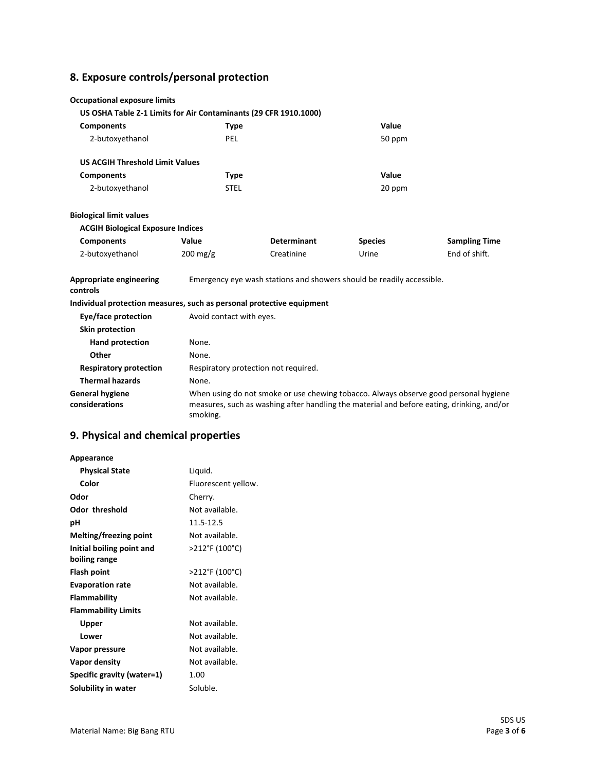# **8. Exposure controls/personal protection**

| <b>Occupational exposure limits</b>                                   |                          |                                                                                                                                                                                   |                |                      |
|-----------------------------------------------------------------------|--------------------------|-----------------------------------------------------------------------------------------------------------------------------------------------------------------------------------|----------------|----------------------|
| US OSHA Table Z-1 Limits for Air Contaminants (29 CFR 1910.1000)      |                          |                                                                                                                                                                                   |                |                      |
| <b>Components</b>                                                     | <b>Type</b>              |                                                                                                                                                                                   | Value          |                      |
| 2-butoxyethanol                                                       | PEL                      |                                                                                                                                                                                   | 50 ppm         |                      |
| <b>US ACGIH Threshold Limit Values</b>                                |                          |                                                                                                                                                                                   |                |                      |
| <b>Components</b>                                                     | <b>Type</b>              |                                                                                                                                                                                   | Value          |                      |
| 2-butoxyethanol                                                       | <b>STEL</b>              |                                                                                                                                                                                   | 20 ppm         |                      |
| <b>Biological limit values</b>                                        |                          |                                                                                                                                                                                   |                |                      |
| <b>ACGIH Biological Exposure Indices</b>                              |                          |                                                                                                                                                                                   |                |                      |
| <b>Components</b>                                                     | Value                    | <b>Determinant</b>                                                                                                                                                                | <b>Species</b> | <b>Sampling Time</b> |
| 2-butoxyethanol                                                       | $200 \text{ mg/g}$       | Creatinine                                                                                                                                                                        | Urine          | End of shift.        |
| Appropriate engineering<br>controls                                   |                          | Emergency eye wash stations and showers should be readily accessible.                                                                                                             |                |                      |
| Individual protection measures, such as personal protective equipment |                          |                                                                                                                                                                                   |                |                      |
| Eye/face protection                                                   | Avoid contact with eyes. |                                                                                                                                                                                   |                |                      |
| <b>Skin protection</b>                                                |                          |                                                                                                                                                                                   |                |                      |
| <b>Hand protection</b>                                                | None.                    |                                                                                                                                                                                   |                |                      |
| Other                                                                 | None.                    |                                                                                                                                                                                   |                |                      |
| <b>Respiratory protection</b>                                         |                          | Respiratory protection not required.                                                                                                                                              |                |                      |
| <b>Thermal hazards</b>                                                | None.                    |                                                                                                                                                                                   |                |                      |
| <b>General hygiene</b><br>considerations                              | smoking.                 | When using do not smoke or use chewing tobacco. Always observe good personal hygiene<br>measures, such as washing after handling the material and before eating, drinking, and/or |                |                      |

### **9. Physical and chemical properties**

| Appearance                                 |                     |
|--------------------------------------------|---------------------|
| <b>Physical State</b>                      | Liquid.             |
| Color                                      | Fluorescent yellow. |
| Odor                                       | Cherry.             |
| <b>Odor threshold</b>                      | Not available.      |
| рH                                         | 11.5-12.5           |
| Melting/freezing point                     | Not available.      |
| Initial boiling point and<br>boiling range | >212°F (100°C)      |
| Flash point                                | >212°F (100°C)      |
| <b>Evaporation rate</b>                    | Not available.      |
| <b>Flammability</b>                        | Not available.      |
| <b>Flammability Limits</b>                 |                     |
| Upper                                      | Not available.      |
| Lower                                      | Not available.      |
| Vapor pressure                             | Not available.      |
| Vapor density                              | Not available.      |
| Specific gravity (water=1)                 | 1.00                |
| Solubility in water                        | Soluble.            |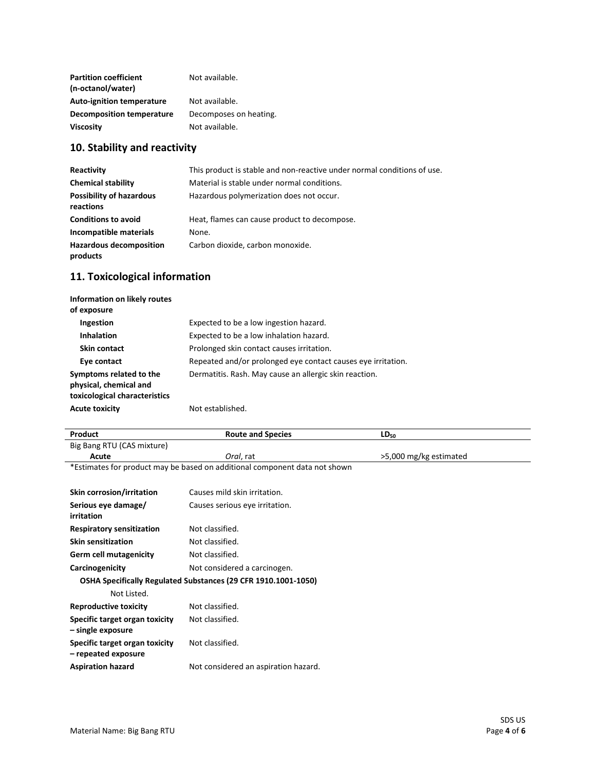| <b>Partition coefficient</b><br>(n-octanol/water) | Not available.         |
|---------------------------------------------------|------------------------|
| <b>Auto-ignition temperature</b>                  | Not available.         |
| <b>Decomposition temperature</b>                  | Decomposes on heating. |
| <b>Viscosity</b>                                  | Not available.         |

### **10. Stability and reactivity**

| Reactivity                                   | This product is stable and non-reactive under normal conditions of use. |
|----------------------------------------------|-------------------------------------------------------------------------|
| <b>Chemical stability</b>                    | Material is stable under normal conditions.                             |
| <b>Possibility of hazardous</b><br>reactions | Hazardous polymerization does not occur.                                |
| <b>Conditions to avoid</b>                   | Heat, flames can cause product to decompose.                            |
| Incompatible materials                       | None.                                                                   |
| <b>Hazardous decomposition</b><br>products   | Carbon dioxide, carbon monoxide.                                        |

### **11. Toxicological information**

| Information on likely routes<br>of exposure                                        |                                                              |
|------------------------------------------------------------------------------------|--------------------------------------------------------------|
| Ingestion                                                                          | Expected to be a low ingestion hazard.                       |
| <b>Inhalation</b>                                                                  | Expected to be a low inhalation hazard.                      |
| <b>Skin contact</b>                                                                | Prolonged skin contact causes irritation.                    |
| Eye contact                                                                        | Repeated and/or prolonged eye contact causes eye irritation. |
| Symptoms related to the<br>physical, chemical and<br>toxicological characteristics | Dermatitis. Rash. May cause an allergic skin reaction.       |
| <b>Acute toxicity</b>                                                              | Not established.                                             |

| Product                                                        | <b>Route and Species</b>                                                   | $LD_{50}$              |
|----------------------------------------------------------------|----------------------------------------------------------------------------|------------------------|
| Big Bang RTU (CAS mixture)                                     |                                                                            |                        |
| Acute                                                          | Oral, rat                                                                  | >5,000 mg/kg estimated |
|                                                                | *Estimates for product may be based on additional component data not shown |                        |
| Skin corrosion/irritation                                      | Causes mild skin irritation.                                               |                        |
| Serious eye damage/<br>irritation                              | Causes serious eye irritation.                                             |                        |
| <b>Respiratory sensitization</b>                               | Not classified.                                                            |                        |
| <b>Skin sensitization</b>                                      | Not classified.                                                            |                        |
| <b>Germ cell mutagenicity</b>                                  | Not classified.                                                            |                        |
| Carcinogenicity                                                | Not considered a carcinogen.                                               |                        |
| OSHA Specifically Regulated Substances (29 CFR 1910.1001-1050) |                                                                            |                        |
| Not Listed.                                                    |                                                                            |                        |
| <b>Reproductive toxicity</b>                                   | Not classified.                                                            |                        |
| Specific target organ toxicity<br>– single exposure            | Not classified.                                                            |                        |
| Specific target organ toxicity<br>- repeated exposure          | Not classified.                                                            |                        |
| <b>Aspiration hazard</b>                                       | Not considered an aspiration hazard.                                       |                        |
|                                                                |                                                                            |                        |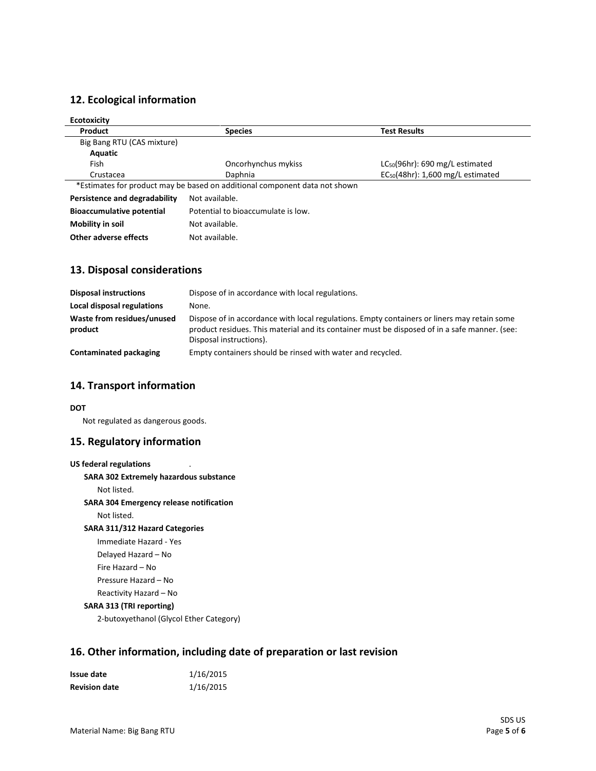### **12. Ecological information**

| <b>Ecotoxicity</b>               |                                                                            |                                        |
|----------------------------------|----------------------------------------------------------------------------|----------------------------------------|
| Product                          | <b>Species</b>                                                             | <b>Test Results</b>                    |
| Big Bang RTU (CAS mixture)       |                                                                            |                                        |
| Aquatic                          |                                                                            |                                        |
| Fish                             | Oncorhynchus mykiss                                                        | $LC_{50}(96hr)$ : 690 mg/L estimated   |
| Crustacea                        | Daphnia                                                                    | $EC_{50}(48hr)$ : 1,600 mg/L estimated |
|                                  | *Estimates for product may be based on additional component data not shown |                                        |
| Persistence and degradability    | Not available.                                                             |                                        |
| <b>Bioaccumulative potential</b> | Potential to bioaccumulate is low.                                         |                                        |
| Mobility in soil                 | Not available.                                                             |                                        |
| Other adverse effects            | Not available.                                                             |                                        |

### **13. Disposal considerations**

| <b>Disposal instructions</b>          | Dispose of in accordance with local regulations.                                                                                                                                                                        |
|---------------------------------------|-------------------------------------------------------------------------------------------------------------------------------------------------------------------------------------------------------------------------|
| Local disposal regulations            | None.                                                                                                                                                                                                                   |
| Waste from residues/unused<br>product | Dispose of in accordance with local regulations. Empty containers or liners may retain some<br>product residues. This material and its container must be disposed of in a safe manner. (see:<br>Disposal instructions). |
| Contaminated packaging                | Empty containers should be rinsed with water and recycled.                                                                                                                                                              |

#### **14. Transport information**

#### **DOT**

Not regulated as dangerous goods.

### **15. Regulatory information**

| <b>US federal regulations</b>                  |
|------------------------------------------------|
| <b>SARA 302 Extremely hazardous substance</b>  |
| Not listed.                                    |
| <b>SARA 304 Emergency release notification</b> |
| Not listed.                                    |
| SARA 311/312 Hazard Categories                 |
| Immediate Hazard - Yes                         |
| Delayed Hazard – No                            |
| Fire Hazard – No                               |
| Pressure Hazard – No                           |
| Reactivity Hazard – No                         |
| SARA 313 (TRI reporting)                       |
| 2-butoxyethanol (Glycol Ether Category)        |

### **16. Other information, including date of preparation or last revision**

| Issue date           | 1/16/2015 |
|----------------------|-----------|
| <b>Revision date</b> | 1/16/2015 |